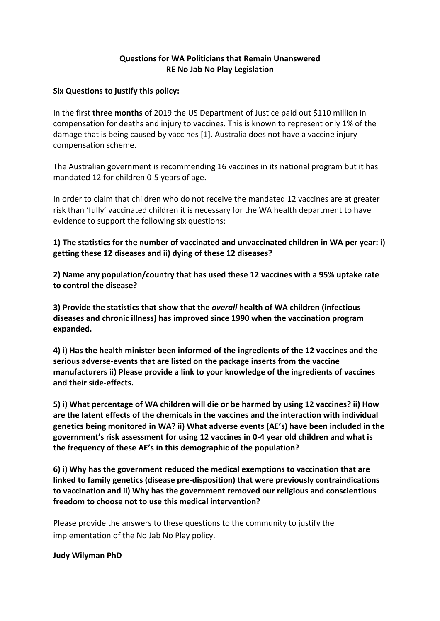## **Questions for WA Politicians that Remain Unanswered RE No Jab No Play Legislation**

### **Six Questions to justify this policy:**

In the first **three months** of 2019 the US Department of Justice paid out \$110 million in compensation for deaths and injury to vaccines. This is known to represent only 1% of the damage that is being caused by vaccines [1]. Australia does not have a vaccine injury compensation scheme.

The Australian government is recommending 16 vaccines in its national program but it has mandated 12 for children 0-5 years of age.

In order to claim that children who do not receive the mandated 12 vaccines are at greater risk than 'fully' vaccinated children it is necessary for the WA health department to have evidence to support the following six questions:

# **1) The statistics for the number of vaccinated and unvaccinated children in WA per year: i) getting these 12 diseases and ii) dying of these 12 diseases?**

**2) Name any population/country that has used these 12 vaccines with a 95% uptake rate to control the disease?**

**3) Provide the statistics that show that the** *overall* **health of WA children (infectious diseases and chronic illness) has improved since 1990 when the vaccination program expanded.**

**4) i) Has the health minister been informed of the ingredients of the 12 vaccines and the serious adverse-events that are listed on the package inserts from the vaccine manufacturers ii) Please provide a link to your knowledge of the ingredients of vaccines and their side-effects.**

**5) i) What percentage of WA children will die or be harmed by using 12 vaccines? ii) How are the latent effects of the chemicals in the vaccines and the interaction with individual genetics being monitored in WA? ii) What adverse events (AE's) have been included in the government's risk assessment for using 12 vaccines in 0-4 year old children and what is the frequency of these AE's in this demographic of the population?**

**6) i) Why has the government reduced the medical exemptions to vaccination that are linked to family genetics (disease pre-disposition) that were previously contraindications to vaccination and ii) Why has the government removed our religious and conscientious freedom to choose not to use this medical intervention?** 

Please provide the answers to these questions to the community to justify the implementation of the No Jab No Play policy.

#### **Judy Wilyman PhD**